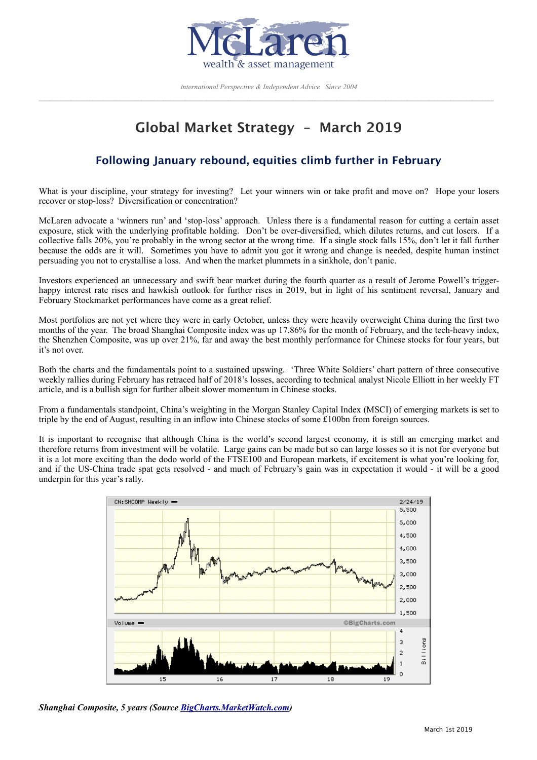

*International Perspective & Independent Advice Since 2004*   $\mathcal{L}_\text{max}$  and the contribution of the contribution of the contribution of the contribution of the contribution of the contribution of the contribution of the contribution of the contribution of the contribution of the

# **Global Market Strategy – March 2019**

## **Following January rebound, equities climb further in February**

What is your discipline, your strategy for investing? Let your winners win or take profit and move on? Hope your losers recover or stop-loss? Diversification or concentration?

McLaren advocate a 'winners run' and 'stop-loss' approach. Unless there is a fundamental reason for cutting a certain asset exposure, stick with the underlying profitable holding. Don't be over-diversified, which dilutes returns, and cut losers. If a collective falls 20%, you're probably in the wrong sector at the wrong time. If a single stock falls 15%, don't let it fall further because the odds are it will. Sometimes you have to admit you got it wrong and change is needed, despite human instinct persuading you not to crystallise a loss. And when the market plummets in a sinkhole, don't panic.

Investors experienced an unnecessary and swift bear market during the fourth quarter as a result of Jerome Powell's triggerhappy interest rate rises and hawkish outlook for further rises in 2019, but in light of his sentiment reversal, January and February Stockmarket performances have come as a great relief.

Most portfolios are not yet where they were in early October, unless they were heavily overweight China during the first two months of the year. The broad Shanghai Composite index was up 17.86% for the month of February, and the tech-heavy index, the Shenzhen Composite, was up over 21%, far and away the best monthly performance for Chinese stocks for four years, but it's not over.

Both the charts and the fundamentals point to a sustained upswing. 'Three White Soldiers' chart pattern of three consecutive weekly rallies during February has retraced half of 2018's losses, according to technical analyst Nicole Elliott in her weekly FT article, and is a bullish sign for further albeit slower momentum in Chinese stocks.

From a fundamentals standpoint, China's weighting in the Morgan Stanley Capital Index (MSCI) of emerging markets is set to triple by the end of August, resulting in an inflow into Chinese stocks of some £100bn from foreign sources.

It is important to recognise that although China is the world's second largest economy, it is still an emerging market and therefore returns from investment will be volatile. Large gains can be made but so can large losses so it is not for everyone but it is a lot more exciting than the dodo world of the FTSE100 and European markets, if excitement is what you're looking for, and if the US-China trade spat gets resolved - and much of February's gain was in expectation it would - it will be a good underpin for this year's rally.



*Shanghai Composite, 5 years (Source [BigCharts.MarketWatch.com](http://BigCharts.MarketWatch.com))*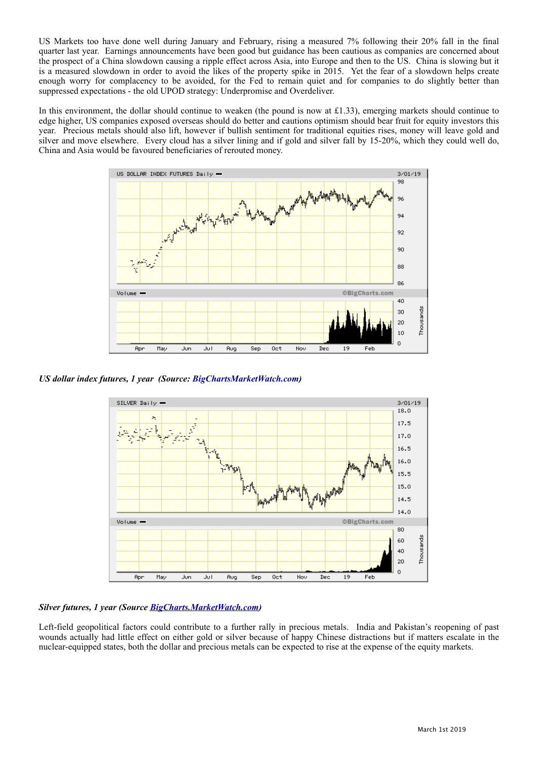US Markets too have done well during January and February, rising a measured 7% following their 20% fall in the final quarter last year. Earnings announcements have been good but guidance has been cautious as companies are concerned about the prospect of a China slowdown causing a ripple effect across Asia, into Europe and then to the US. China is slowing but it is a measured slowdown in order to avoid the likes of the property spike in 2015. Yet the fear of a slowdown helps create enough worry for complacency to be avoided, for the Fed to remain quiet and for companies to do slightly better than suppressed expectations - the old UPOD strategy: Underpromise and Overdeliver.

In this environment, the dollar should continue to weaken (the pound is now at £1.33), emerging markets should continue to edge higher, US companies exposed overseas should do better and cautions optimism should bear fruit for equity investors this year. Precious metals should also lift, however if bullish sentiment for traditional equities rises, money will leave gold and silver and move elsewhere. Every cloud has a silver lining and if gold and silver fall by 15-20%, which they could well do, China and Asia would be favoured beneficiaries of rerouted money.



*US dollar index futures, 1 year (Source: [BigChartsMarketWatch.com](http://BigChartsMarketWatch.com))*



## *Silver futures, 1 year (Source [BigCharts.MarketWatch.com](http://BigCharts.MarketWatch.com))*

Left-field geopolitical factors could contribute to a further rally in precious metals. India and Pakistan's reopening of past wounds actually had little effect on either gold or silver because of happy Chinese distractions but if matters escalate in the nuclear-equipped states, both the dollar and precious metals can be expected to rise at the expense of the equity markets.